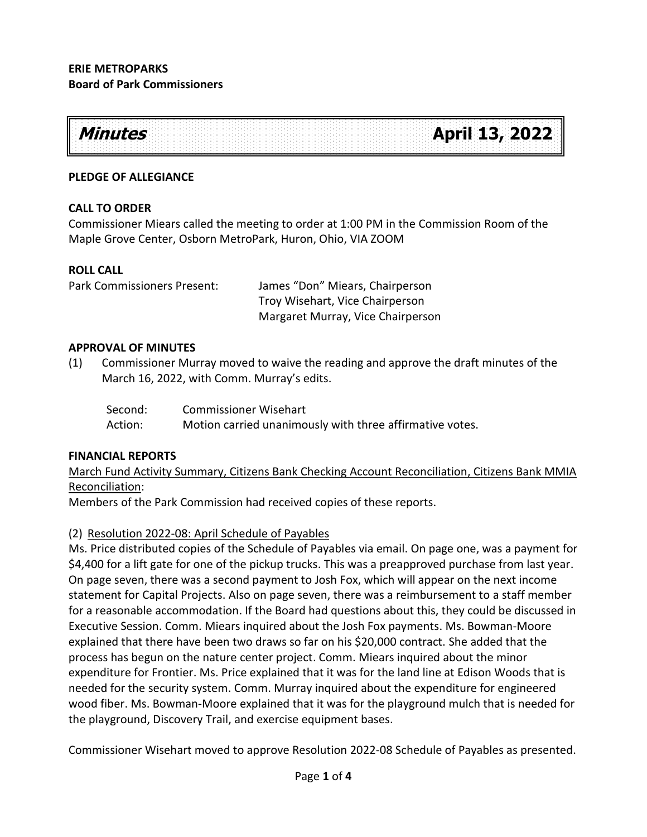

### **PLEDGE OF ALLEGIANCE**

### **CALL TO ORDER**

Commissioner Miears called the meeting to order at 1:00 PM in the Commission Room of the Maple Grove Center, Osborn MetroPark, Huron, Ohio, VIA ZOOM

### **ROLL CALL**

Park Commissioners Present: James "Don" Miears, Chairperson Troy Wisehart, Vice Chairperson Margaret Murray, Vice Chairperson

#### **APPROVAL OF MINUTES**

(1) Commissioner Murray moved to waive the reading and approve the draft minutes of the March 16, 2022, with Comm. Murray's edits.

| Second: | <b>Commissioner Wisehart</b>                             |
|---------|----------------------------------------------------------|
| Action: | Motion carried unanimously with three affirmative votes. |

### **FINANCIAL REPORTS**

March Fund Activity Summary, Citizens Bank Checking Account Reconciliation, Citizens Bank MMIA Reconciliation:

Members of the Park Commission had received copies of these reports.

### (2) Resolution 2022-08: April Schedule of Payables

Ms. Price distributed copies of the Schedule of Payables via email. On page one, was a payment for \$4,400 for a lift gate for one of the pickup trucks. This was a preapproved purchase from last year. On page seven, there was a second payment to Josh Fox, which will appear on the next income statement for Capital Projects. Also on page seven, there was a reimbursement to a staff member for a reasonable accommodation. If the Board had questions about this, they could be discussed in Executive Session. Comm. Miears inquired about the Josh Fox payments. Ms. Bowman-Moore explained that there have been two draws so far on his \$20,000 contract. She added that the process has begun on the nature center project. Comm. Miears inquired about the minor expenditure for Frontier. Ms. Price explained that it was for the land line at Edison Woods that is needed for the security system. Comm. Murray inquired about the expenditure for engineered wood fiber. Ms. Bowman-Moore explained that it was for the playground mulch that is needed for the playground, Discovery Trail, and exercise equipment bases.

Commissioner Wisehart moved to approve Resolution 2022-08 Schedule of Payables as presented.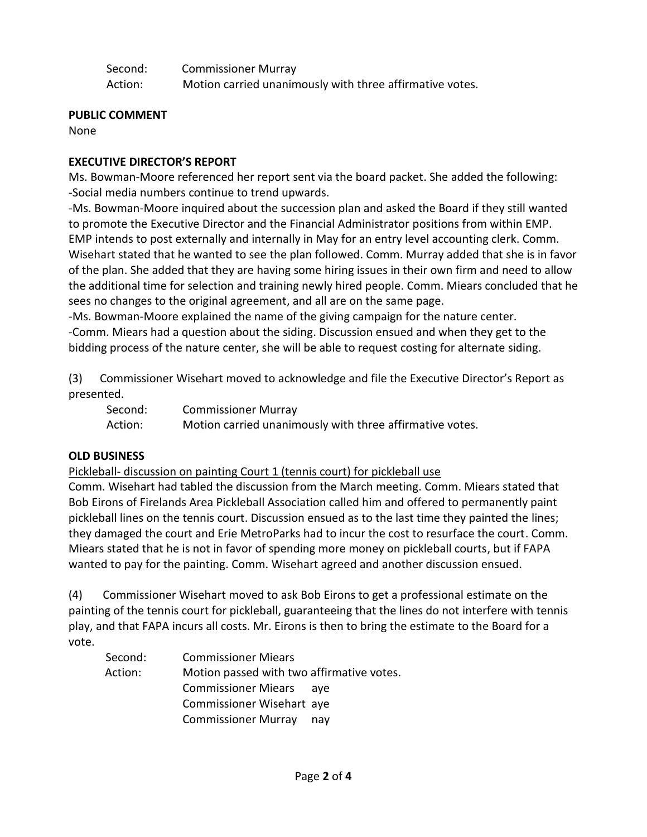| Second: | <b>Commissioner Murray</b>                               |
|---------|----------------------------------------------------------|
| Action: | Motion carried unanimously with three affirmative votes. |

### **PUBLIC COMMENT**

None

# **EXECUTIVE DIRECTOR'S REPORT**

Ms. Bowman-Moore referenced her report sent via the board packet. She added the following: -Social media numbers continue to trend upwards.

-Ms. Bowman-Moore inquired about the succession plan and asked the Board if they still wanted to promote the Executive Director and the Financial Administrator positions from within EMP. EMP intends to post externally and internally in May for an entry level accounting clerk. Comm. Wisehart stated that he wanted to see the plan followed. Comm. Murray added that she is in favor of the plan. She added that they are having some hiring issues in their own firm and need to allow the additional time for selection and training newly hired people. Comm. Miears concluded that he sees no changes to the original agreement, and all are on the same page.

-Ms. Bowman-Moore explained the name of the giving campaign for the nature center. -Comm. Miears had a question about the siding. Discussion ensued and when they get to the bidding process of the nature center, she will be able to request costing for alternate siding.

(3) Commissioner Wisehart moved to acknowledge and file the Executive Director's Report as presented.

Second: Commissioner Murray Action: Motion carried unanimously with three affirmative votes.

# **OLD BUSINESS**

Pickleball- discussion on painting Court 1 (tennis court) for pickleball use

Comm. Wisehart had tabled the discussion from the March meeting. Comm. Miears stated that Bob Eirons of Firelands Area Pickleball Association called him and offered to permanently paint pickleball lines on the tennis court. Discussion ensued as to the last time they painted the lines; they damaged the court and Erie MetroParks had to incur the cost to resurface the court. Comm. Miears stated that he is not in favor of spending more money on pickleball courts, but if FAPA wanted to pay for the painting. Comm. Wisehart agreed and another discussion ensued.

(4) Commissioner Wisehart moved to ask Bob Eirons to get a professional estimate on the painting of the tennis court for pickleball, guaranteeing that the lines do not interfere with tennis play, and that FAPA incurs all costs. Mr. Eirons is then to bring the estimate to the Board for a vote.

| Second: | <b>Commissioner Miears</b>                |  |
|---------|-------------------------------------------|--|
| Action: | Motion passed with two affirmative votes. |  |
|         | <b>Commissioner Miears</b><br>ave         |  |
|         | Commissioner Wisehart aye                 |  |
|         | <b>Commissioner Murray</b><br>nav         |  |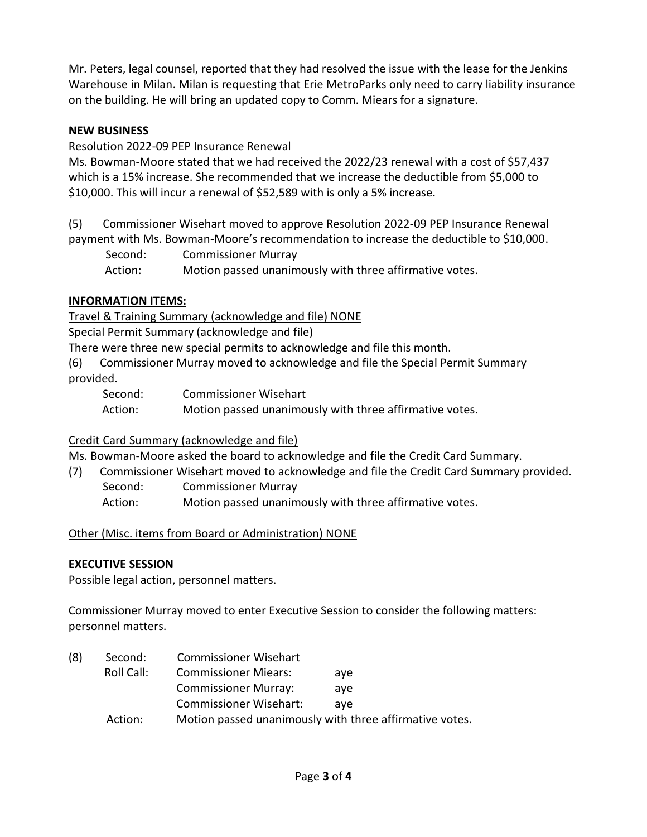Mr. Peters, legal counsel, reported that they had resolved the issue with the lease for the Jenkins Warehouse in Milan. Milan is requesting that Erie MetroParks only need to carry liability insurance on the building. He will bring an updated copy to Comm. Miears for a signature.

## **NEW BUSINESS**

## Resolution 2022-09 PEP Insurance Renewal

Ms. Bowman-Moore stated that we had received the 2022/23 renewal with a cost of \$57,437 which is a 15% increase. She recommended that we increase the deductible from \$5,000 to \$10,000. This will incur a renewal of \$52,589 with is only a 5% increase.

(5) Commissioner Wisehart moved to approve Resolution 2022-09 PEP Insurance Renewal payment with Ms. Bowman-Moore's recommendation to increase the deductible to \$10,000.

 Second: Commissioner Murray Action: Motion passed unanimously with three affirmative votes.

## **INFORMATION ITEMS:**

Travel & Training Summary (acknowledge and file) NONE

Special Permit Summary (acknowledge and file)

There were three new special permits to acknowledge and file this month.

(6) Commissioner Murray moved to acknowledge and file the Special Permit Summary provided.

Second: Commissioner Wisehart Action: Motion passed unanimously with three affirmative votes.

# Credit Card Summary (acknowledge and file)

Ms. Bowman-Moore asked the board to acknowledge and file the Credit Card Summary.

- (7) Commissioner Wisehart moved to acknowledge and file the Credit Card Summary provided.
	- Second: Commissioner Murray
	- Action: Motion passed unanimously with three affirmative votes.

# Other (Misc. items from Board or Administration) NONE

### **EXECUTIVE SESSION**

Possible legal action, personnel matters.

Commissioner Murray moved to enter Executive Session to consider the following matters: personnel matters.

| (8) | Second:    | <b>Commissioner Wisehart</b>                            |     |
|-----|------------|---------------------------------------------------------|-----|
|     | Roll Call: | <b>Commissioner Miears:</b>                             | ave |
|     |            | <b>Commissioner Murray:</b>                             | ave |
|     |            | <b>Commissioner Wisehart:</b>                           | ave |
|     | Action:    | Motion passed unanimously with three affirmative votes. |     |